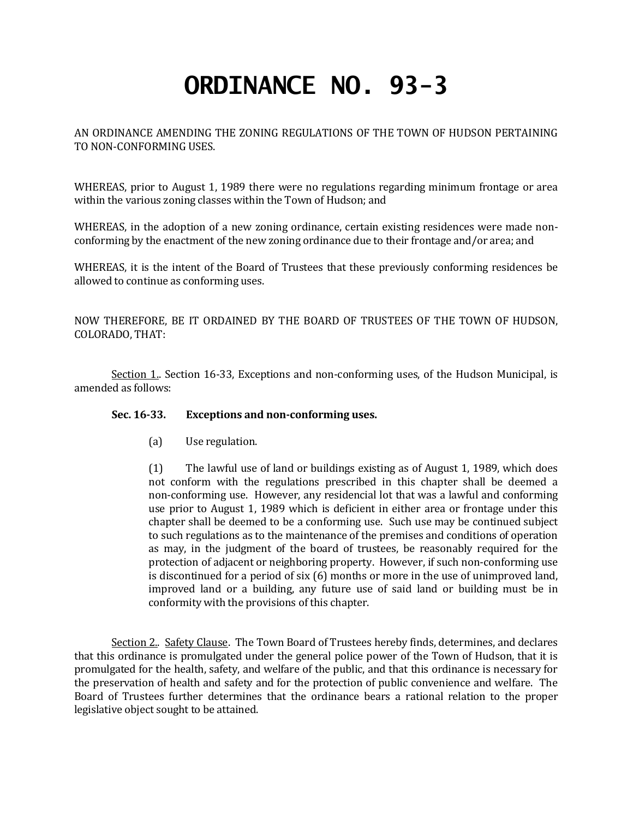## **ORDINANCE NO. 93-3**

AN ORDINANCE AMENDING THE ZONING REGULATIONS OF THE TOWN OF HUDSON PERTAINING TO NON-CONFORMING USES.

WHEREAS, prior to August 1, 1989 there were no regulations regarding minimum frontage or area within the various zoning classes within the Town of Hudson; and

WHEREAS, in the adoption of a new zoning ordinance, certain existing residences were made nonconforming by the enactment of the new zoning ordinance due to their frontage and/or area; and

WHEREAS, it is the intent of the Board of Trustees that these previously conforming residences be allowed to continue as conforming uses.

NOW THEREFORE, BE IT ORDAINED BY THE BOARD OF TRUSTEES OF THE TOWN OF HUDSON, COLORADO, THAT:

Section 1. Section 16-33, Exceptions and non-conforming uses, of the Hudson Municipal, is amended as follows:

## **Sec. 16-33. Exceptions and non-conforming uses.**

(a) Use regulation.

(1) The lawful use of land or buildings existing as of August 1, 1989, which does not conform with the regulations prescribed in this chapter shall be deemed a non-conforming use. However, any residencial lot that was a lawful and conforming use prior to August 1, 1989 which is deficient in either area or frontage under this chapter shall be deemed to be a conforming use. Such use may be continued subject to such regulations as to the maintenance of the premises and conditions of operation as may, in the judgment of the board of trustees, be reasonably required for the protection of adjacent or neighboring property. However, if such non-conforming use is discontinued for a period of six (6) months or more in the use of unimproved land, improved land or a building, any future use of said land or building must be in conformity with the provisions of this chapter.

Section 2.. Safety Clause. The Town Board of Trustees hereby finds, determines, and declares that this ordinance is promulgated under the general police power of the Town of Hudson, that it is promulgated for the health, safety, and welfare of the public, and that this ordinance is necessary for the preservation of health and safety and for the protection of public convenience and welfare. The Board of Trustees further determines that the ordinance bears a rational relation to the proper legislative object sought to be attained.